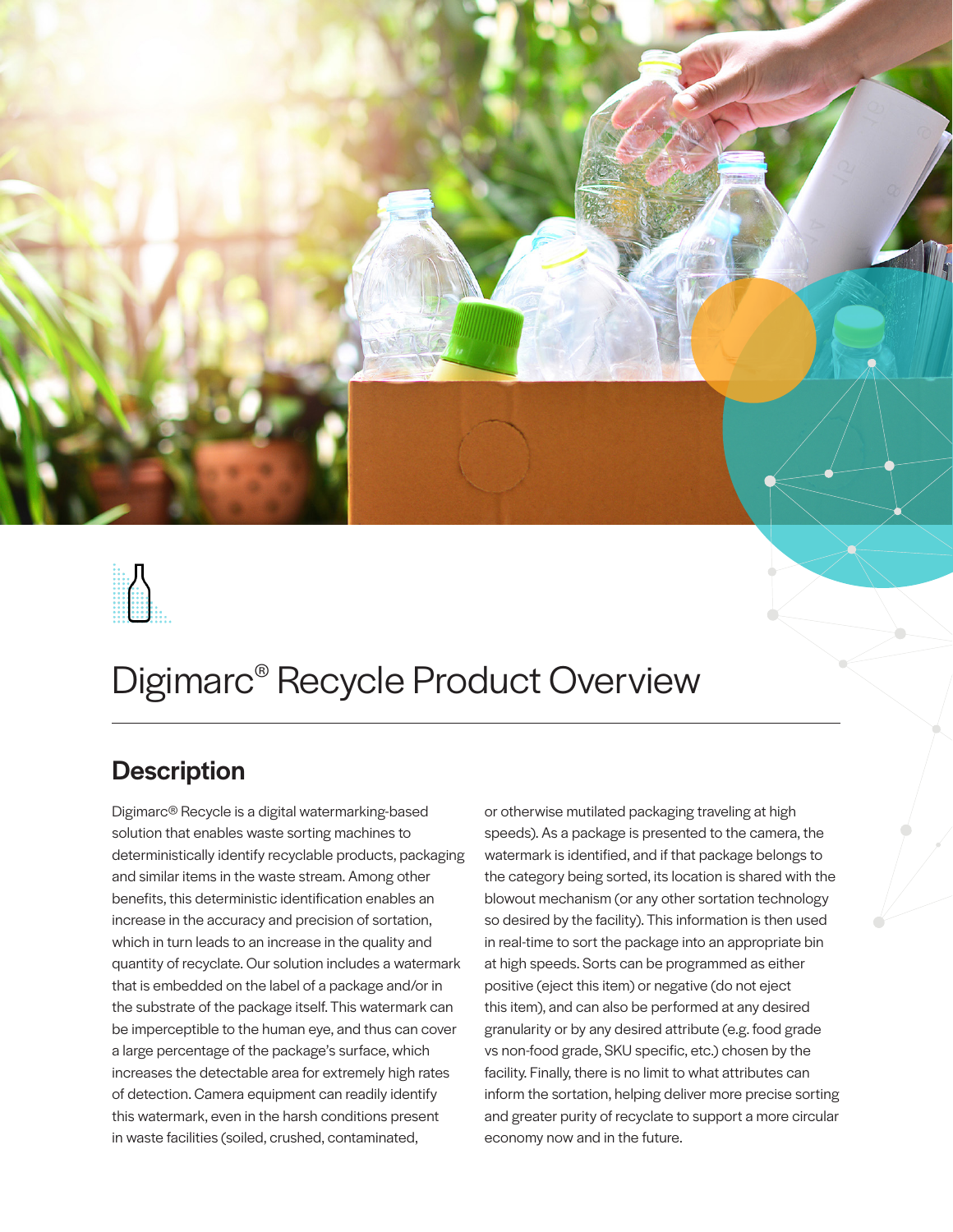



# Digimarc® Recycle Product Overview

## **Description**

Digimarc® Recycle is a digital watermarking-based solution that enables waste sorting machines to deterministically identify recyclable products, packaging and similar items in the waste stream. Among other benefits, this deterministic identification enables an increase in the accuracy and precision of sortation, which in turn leads to an increase in the quality and quantity of recyclate. Our solution includes a watermark that is embedded on the label of a package and/or in the substrate of the package itself. This watermark can be imperceptible to the human eye, and thus can cover a large percentage of the package's surface, which increases the detectable area for extremely high rates of detection. Camera equipment can readily identify this watermark, even in the harsh conditions present in waste facilities (soiled, crushed, contaminated,

or otherwise mutilated packaging traveling at high speeds). As a package is presented to the camera, the watermark is identified, and if that package belongs to the category being sorted, its location is shared with the blowout mechanism (or any other sortation technology so desired by the facility). This information is then used in real-time to sort the package into an appropriate bin at high speeds. Sorts can be programmed as either positive (eject this item) or negative (do not eject this item), and can also be performed at any desired granularity or by any desired attribute (e.g. food grade vs non-food grade, SKU specific, etc.) chosen by the facility. Finally, there is no limit to what attributes can inform the sortation, helping deliver more precise sorting and greater purity of recyclate to support a more circular economy now and in the future.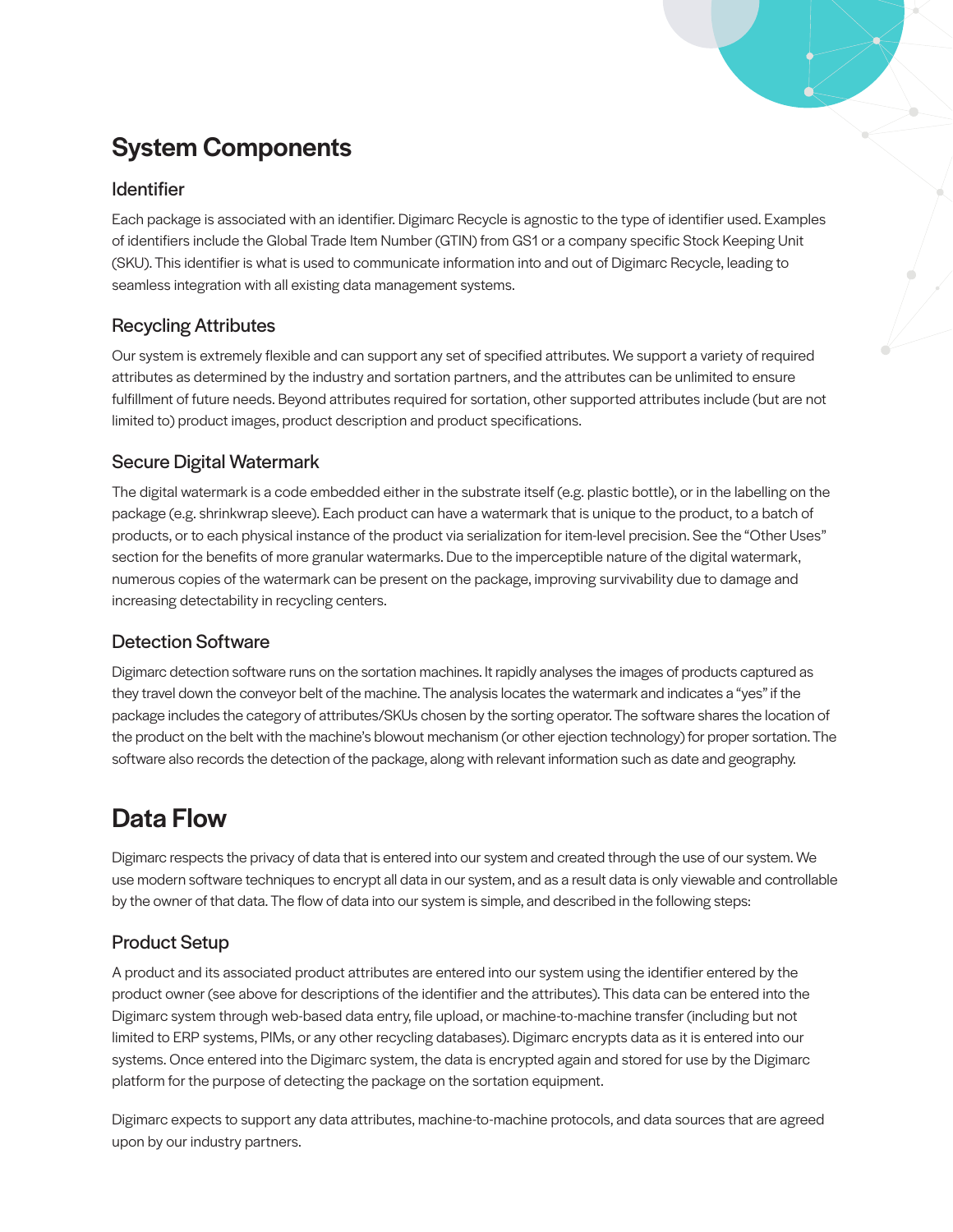# System Components

#### Identifier

Each package is associated with an identifier. Digimarc Recycle is agnostic to the type of identifier used. Examples of identifiers include the Global Trade Item Number (GTIN) from GS1 or a company specific Stock Keeping Unit (SKU). This identifier is what is used to communicate information into and out of Digimarc Recycle, leading to seamless integration with all existing data management systems.

#### Recycling Attributes

Our system is extremely flexible and can support any set of specified attributes. We support a variety of required attributes as determined by the industry and sortation partners, and the attributes can be unlimited to ensure fulfillment of future needs. Beyond attributes required for sortation, other supported attributes include (but are not limited to) product images, product description and product specifications.

#### Secure Digital Watermark

The digital watermark is a code embedded either in the substrate itself (e.g. plastic bottle), or in the labelling on the package (e.g. shrinkwrap sleeve). Each product can have a watermark that is unique to the product, to a batch of products, or to each physical instance of the product via serialization for item-level precision. See the "Other Uses" section for the benefits of more granular watermarks. Due to the imperceptible nature of the digital watermark, numerous copies of the watermark can be present on the package, improving survivability due to damage and increasing detectability in recycling centers.

#### Detection Software

Digimarc detection software runs on the sortation machines. It rapidly analyses the images of products captured as they travel down the conveyor belt of the machine. The analysis locates the watermark and indicates a "yes" if the package includes the category of attributes/SKUs chosen by the sorting operator. The software shares the location of the product on the belt with the machine's blowout mechanism (or other ejection technology) for proper sortation. The software also records the detection of the package, along with relevant information such as date and geography.

## Data Flow

Digimarc respects the privacy of data that is entered into our system and created through the use of our system. We use modern software techniques to encrypt all data in our system, and as a result data is only viewable and controllable by the owner of that data. The flow of data into our system is simple, and described in the following steps:

#### Product Setup

A product and its associated product attributes are entered into our system using the identifier entered by the product owner (see above for descriptions of the identifier and the attributes). This data can be entered into the Digimarc system through web-based data entry, file upload, or machine-to-machine transfer (including but not limited to ERP systems, PIMs, or any other recycling databases). Digimarc encrypts data as it is entered into our systems. Once entered into the Digimarc system, the data is encrypted again and stored for use by the Digimarc platform for the purpose of detecting the package on the sortation equipment.

Digimarc expects to support any data attributes, machine-to-machine protocols, and data sources that are agreed upon by our industry partners.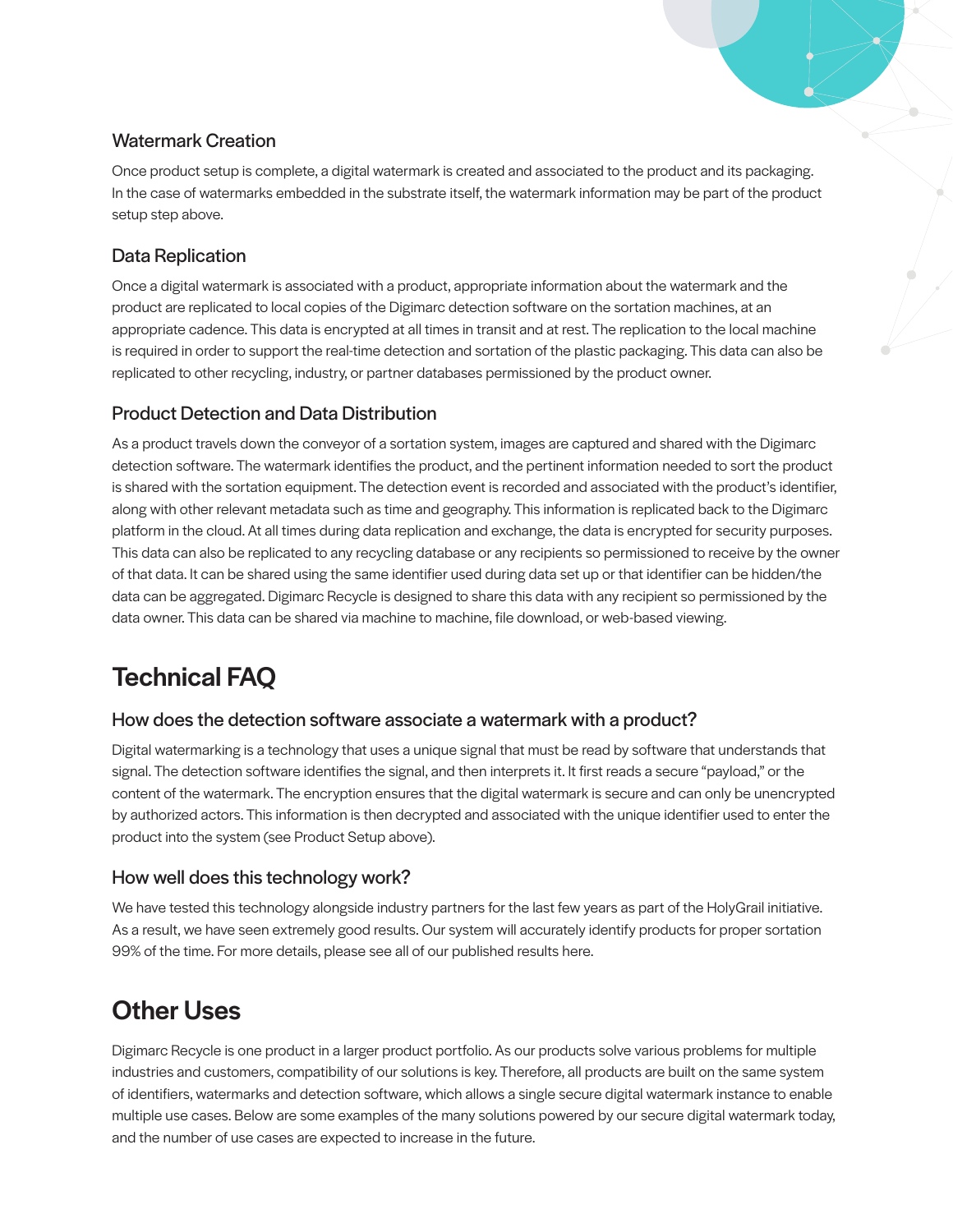#### Watermark Creation

Once product setup is complete, a digital watermark is created and associated to the product and its packaging. In the case of watermarks embedded in the substrate itself, the watermark information may be part of the product setup step above.

#### Data Replication

Once a digital watermark is associated with a product, appropriate information about the watermark and the product are replicated to local copies of the Digimarc detection software on the sortation machines, at an appropriate cadence. This data is encrypted at all times in transit and at rest. The replication to the local machine is required in order to support the real-time detection and sortation of the plastic packaging. This data can also be replicated to other recycling, industry, or partner databases permissioned by the product owner.

#### Product Detection and Data Distribution

As a product travels down the conveyor of a sortation system, images are captured and shared with the Digimarc detection software. The watermark identifies the product, and the pertinent information needed to sort the product is shared with the sortation equipment. The detection event is recorded and associated with the product's identifier, along with other relevant metadata such as time and geography. This information is replicated back to the Digimarc platform in the cloud. At all times during data replication and exchange, the data is encrypted for security purposes. This data can also be replicated to any recycling database or any recipients so permissioned to receive by the owner of that data. It can be shared using the same identifier used during data set up or that identifier can be hidden/the data can be aggregated. Digimarc Recycle is designed to share this data with any recipient so permissioned by the data owner. This data can be shared via machine to machine, file download, or web-based viewing.

# Technical FAQ

#### How does the detection software associate a watermark with a product?

Digital watermarking is a technology that uses a unique signal that must be read by software that understands that signal. The detection software identifies the signal, and then interprets it. It first reads a secure "payload," or the content of the watermark. The encryption ensures that the digital watermark is secure and can only be unencrypted by authorized actors. This information is then decrypted and associated with the unique identifier used to enter the product into the system (see Product Setup above).

#### How well does this technology work?

We have tested this technology alongside industry partners for the last few years as part of the HolyGrail initiative. As a result, we have seen extremely good results. Our system will accurately identify products for proper sortation 99% of the time. For more details, please see all of our published results here.

## Other Uses

Digimarc Recycle is one product in a larger product portfolio. As our products solve various problems for multiple industries and customers, compatibility of our solutions is key. Therefore, all products are built on the same system of identifiers, watermarks and detection software, which allows a single secure digital watermark instance to enable multiple use cases. Below are some examples of the many solutions powered by our secure digital watermark today, and the number of use cases are expected to increase in the future.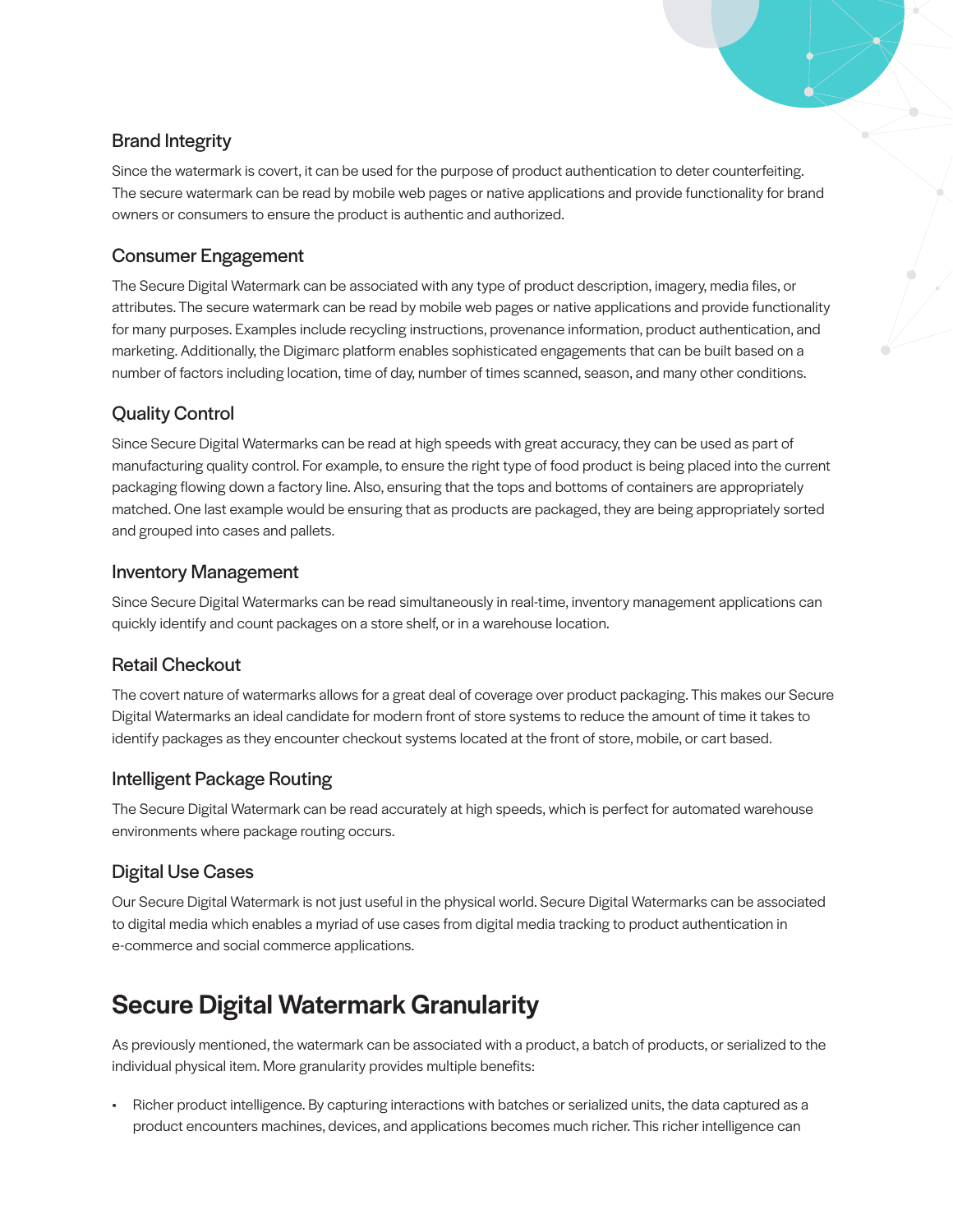#### Brand Integrity

Since the watermark is covert, it can be used for the purpose of product authentication to deter counterfeiting. The secure watermark can be read by mobile web pages or native applications and provide functionality for brand owners or consumers to ensure the product is authentic and authorized.

#### Consumer Engagement

The Secure Digital Watermark can be associated with any type of product description, imagery, media files, or attributes. The secure watermark can be read by mobile web pages or native applications and provide functionality for many purposes. Examples include recycling instructions, provenance information, product authentication, and marketing. Additionally, the Digimarc platform enables sophisticated engagements that can be built based on a number of factors including location, time of day, number of times scanned, season, and many other conditions.

#### Quality Control

Since Secure Digital Watermarks can be read at high speeds with great accuracy, they can be used as part of manufacturing quality control. For example, to ensure the right type of food product is being placed into the current packaging flowing down a factory line. Also, ensuring that the tops and bottoms of containers are appropriately matched. One last example would be ensuring that as products are packaged, they are being appropriately sorted and grouped into cases and pallets.

#### Inventory Management

Since Secure Digital Watermarks can be read simultaneously in real-time, inventory management applications can quickly identify and count packages on a store shelf, or in a warehouse location.

#### Retail Checkout

The covert nature of watermarks allows for a great deal of coverage over product packaging. This makes our Secure Digital Watermarks an ideal candidate for modern front of store systems to reduce the amount of time it takes to identify packages as they encounter checkout systems located at the front of store, mobile, or cart based.

#### Intelligent Package Routing

The Secure Digital Watermark can be read accurately at high speeds, which is perfect for automated warehouse environments where package routing occurs.

#### Digital Use Cases

Our Secure Digital Watermark is not just useful in the physical world. Secure Digital Watermarks can be associated to digital media which enables a myriad of use cases from digital media tracking to product authentication in e-commerce and social commerce applications.

# Secure Digital Watermark Granularity

As previously mentioned, the watermark can be associated with a product, a batch of products, or serialized to the individual physical item. More granularity provides multiple benefits:

• Richer product intelligence. By capturing interactions with batches or serialized units, the data captured as a product encounters machines, devices, and applications becomes much richer. This richer intelligence can